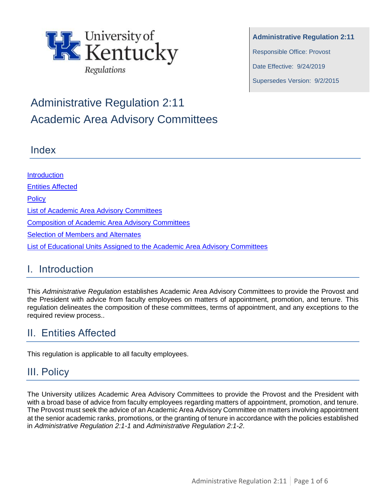

**Administrative Regulation 2:11** Responsible Office: Provost Date Effective: 9/24/2019 Supersedes Version: 9/2/2015

# Administrative Regulation 2:11 Academic Area Advisory Committees

#### Index

**Introduction** Entities Affected **Policy** [List of Academic Area Advisory Committees](#page-0-0) [Composition of Academic Area Advisory Committees](#page-1-0) **Selection of Members and Alternates** List of [Educational Units Assigned to the Academic Area Advisory Committees](#page-2-0)

## I. Introduction

This *Administrative Regulation* establishes Academic Area Advisory Committees to provide the Provost and the President with advice from faculty employees on matters of appointment, promotion, and tenure. This regulation delineates the composition of these committees, terms of appointment, and any exceptions to the required review process..

## II. Entities Affected

This regulation is applicable to all faculty employees.

# <span id="page-0-0"></span>III. Policy

The University utilizes Academic Area Advisory Committees to provide the Provost and the President with with a broad base of advice from faculty employees regarding matters of appointment, promotion, and tenure. The Provost must seek the advice of an Academic Area Advisory Committee on matters involving appointment at the senior academic ranks, promotions, or the granting of tenure in accordance with the policies established in *Administrative Regulation 2:1-1* and *Administrative Regulation 2:1-2*.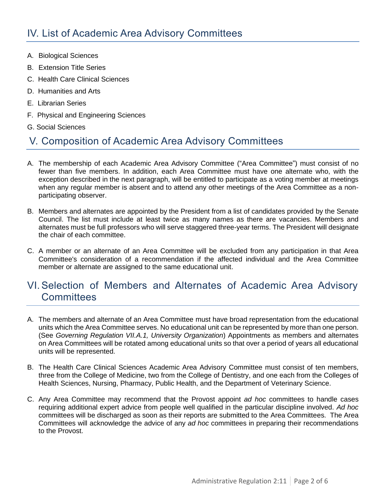- A. Biological Sciences
- B. Extension Title Series
- C. Health Care Clinical Sciences
- D. Humanities and Arts
- E. Librarian Series
- F. Physical and Engineering Sciences
- G. Social Sciences

# <span id="page-1-0"></span>V. Composition of Academic Area Advisory Committees

- A. The membership of each Academic Area Advisory Committee ("Area Committee") must consist of no fewer than five members. In addition, each Area Committee must have one alternate who, with the exception described in the next paragraph, will be entitled to participate as a voting member at meetings when any regular member is absent and to attend any other meetings of the Area Committee as a nonparticipating observer.
- B. Members and alternates are appointed by the President from a list of candidates provided by the Senate Council. The list must include at least twice as many names as there are vacancies. Members and alternates must be full professors who will serve staggered three-year terms. The President will designate the chair of each committee.
- C. A member or an alternate of an Area Committee will be excluded from any participation in that Area Committee's consideration of a recommendation if the affected individual and the Area Committee member or alternate are assigned to the same educational unit.

## <span id="page-1-1"></span>VI.Selection of Members and Alternates of Academic Area Advisory **Committees**

- A. The members and alternate of an Area Committee must have broad representation from the educational units which the Area Committee serves. No educational unit can be represented by more than one person. (See *Governing Regulation VII.A.1, University Organization*) Appointments as members and alternates on Area Committees will be rotated among educational units so that over a period of years all educational units will be represented.
- B. The Health Care Clinical Sciences Academic Area Advisory Committee must consist of ten members, three from the College of Medicine, two from the College of Dentistry, and one each from the Colleges of Health Sciences, Nursing, Pharmacy, Public Health, and the Department of Veterinary Science.
- C. Any Area Committee may recommend that the Provost appoint *ad hoc* committees to handle cases requiring additional expert advice from people well qualified in the particular discipline involved. *Ad hoc* committees will be discharged as soon as their reports are submitted to the Area Committees. The Area Committees will acknowledge the advice of any *ad hoc* committees in preparing their recommendations to the Provost.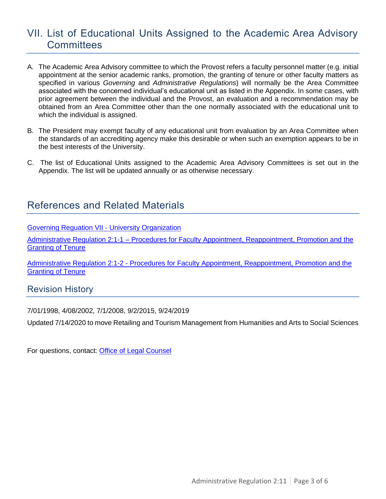#### <span id="page-2-0"></span>VII. List of Educational Units Assigned to the Academic Area Advisory **Committees**

- A. The Academic Area Advisory committee to which the Provost refers a faculty personnel matter (e.g. initial appointment at the senior academic ranks, promotion, the granting of tenure or other faculty matters as specified in various *Governing* and *Administrative Regulations*) will normally be the Area Committee associated with the concerned individual's educational unit as listed in the Appendix. In some cases, with prior agreement between the individual and the Provost, an evaluation and a recommendation may be obtained from an Area Committee other than the one normally associated with the educational unit to which the individual is assigned.
- B. The President may exempt faculty of any educational unit from evaluation by an Area Committee when the standards of an accrediting agency make this desirable or when such an exemption appears to be in the best interests of the University.
- C. The list of Educational Units assigned to the Academic Area Advisory Committees is set out in the Appendix. The list will be updated annually or as otherwise necessary.

#### References and Related Materials

Governing Reguation VII - [University Organization](https://www.uky.edu/regs/gr7)

Administrative Regulation 2:1-1 – [Procedures for Faculty Appointment, Reappointment, Promotion and the](https://www.uky.edu/regs/ar2-1-1)  [Granting of](https://www.uky.edu/regs/ar2-1-1) Tenure

Administrative Regulation 2:1-2 - [Procedures for Faculty Appointment, Reappointment, Promotion and the](https://www.uky.edu/regs/ar2-1-2)  [Granting of Tenure](https://www.uky.edu/regs/ar2-1-2)

Revision History

7/01/1998, 4/08/2002, 7/1/2008, 9/2/2015, 9/24/2019

Updated 7/14/2020 to move Retailing and Tourism Management from Humanities and Arts to Social Sciences

For questions, contact: [Office of Legal Counsel](mailto:LegalRegs@uky.edu)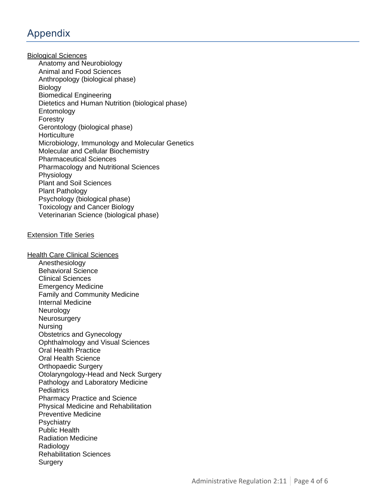### Appendix

Biological Sciences Anatomy and Neurobiology Animal and Food Sciences Anthropology (biological phase) **Biology** Biomedical Engineering Dietetics and Human Nutrition (biological phase) Entomology Forestry Gerontology (biological phase) **Horticulture** Microbiology, Immunology and Molecular Genetics Molecular and Cellular Biochemistry Pharmaceutical Sciences Pharmacology and Nutritional Sciences Physiology Plant and Soil Sciences Plant Pathology Psychology (biological phase) Toxicology and Cancer Biology Veterinarian Science (biological phase)

#### Extension Title Series

**Health Care Clinical Sciences** Anesthesiology Behavioral Science Clinical Sciences Emergency Medicine Family and Community Medicine Internal Medicine **Neurology Neurosurgery** Nursing Obstetrics and Gynecology Ophthalmology and Visual Sciences Oral Health Practice Oral Health Science Orthopaedic Surgery Otolaryngology-Head and Neck Surgery Pathology and Laboratory Medicine **Pediatrics** Pharmacy Practice and Science Physical Medicine and Rehabilitation Preventive Medicine **Psychiatry** Public Health Radiation Medicine **Radiology** Rehabilitation Sciences **Surgery**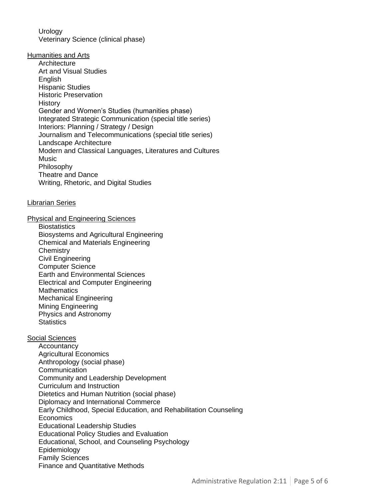**Urology** Veterinary Science (clinical phase)

Humanities and Arts

**Architecture** Art and Visual Studies English Hispanic Studies Historic Preservation **History** Gender and Women's Studies (humanities phase) Integrated Strategic Communication (special title series) Interiors: Planning / Strategy / Design Journalism and Telecommunications (special title series) Landscape Architecture Modern and Classical Languages, Literatures and Cultures **Music** Philosophy Theatre and Dance Writing, Rhetoric, and Digital Studies

#### Librarian Series

Physical and Engineering Sciences

**Biostatistics** Biosystems and Agricultural Engineering Chemical and Materials Engineering **Chemistry** Civil Engineering Computer Science Earth and Environmental Sciences Electrical and Computer Engineering **Mathematics** Mechanical Engineering Mining Engineering Physics and Astronomy **Statistics** 

#### Social Sciences

**Accountancy** Agricultural Economics Anthropology (social phase) **Communication** Community and Leadership Development Curriculum and Instruction Dietetics and Human Nutrition (social phase) Diplomacy and International Commerce Early Childhood, Special Education, and Rehabilitation Counseling **Economics** Educational Leadership Studies Educational Policy Studies and Evaluation Educational, School, and Counseling Psychology Epidemiology Family Sciences Finance and Quantitative Methods